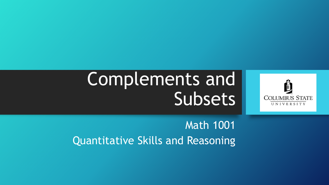# Complements and **Subsets**



Math 1001 Quantitative Skills and Reasoning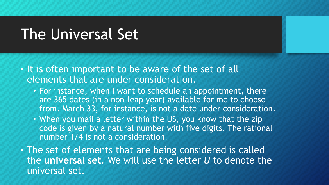#### The Universal Set

- It is often important to be aware of the set of all elements that are under consideration.
	- For instance, when I want to schedule an appointment, there are 365 dates (in a non-leap year) available for me to choose from. March 33, for instance, is not a date under consideration.
	- When you mail a letter within the US, you know that the zip code is given by a natural number with five digits. The rational number 1/4 is not a consideration.
- The set of elements that are being considered is called the **universal set**. We will use the letter *U* to denote the universal set.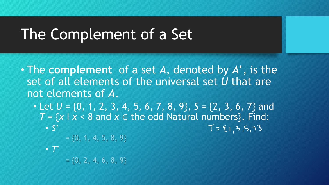# The Complement of a Set

- The **complement** of a set *A*, denoted by *A*', is the set of all elements of the universal set *U* that are not elements of *A*.
	- Let  $U = \{0, 1, 2, 3, 4, 5, 6, 7, 8, 9\}, S = \{2, 3, 6, 7\}$  and  $T = \{x \mid x < 8 \text{ and } x \in \text{the odd Natural numbers}\}.$  Find: • *S*'  $T = 91, 3, 5, 73$

 $= \{0, 1, 4, 5, 8, 9\}$ 

• *T*'

 $= \{0, 2, 4, 6, 8, 9\}$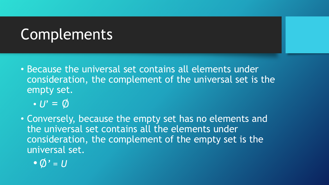# **Complements**

- Because the universal set contains all elements under consideration, the complement of the universal set is the empty set.
	- *U*' = ∅
- Conversely, because the empty set has no elements and the universal set contains all the elements under consideration, the complement of the empty set is the universal set.
	- •∅*' = U*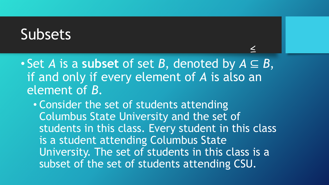#### Subsets

• Set *A* is a **subset** of set *B*, denoted by *A* ⊆ *B*, if and only if every element of *A* is also an element of *B*.

• Consider the set of students attending Columbus State University and the set of students in this class. Every student in this class is a student attending Columbus State University. The set of students in this class is a subset of the set of students attending CSU.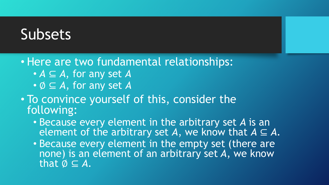## Subsets

• Here are two fundamental relationships:

- *A* ⊆ *A*, for any set *A*
- ∅ ⊆ *A*, for any set *A*
- To convince yourself of this, consider the following:
	- Because every element in the arbitrary set *A* is an element of the arbitrary set A, we know that  $A \subseteq A$ .
	- Because every element in the empty set (there are none) is an element of an arbitrary set *A*, we know that  $\emptyset \subseteq A$ .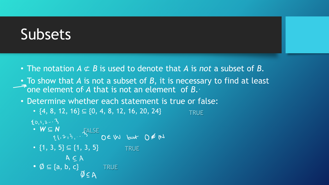# Subsets

- The notation *A* ⊄ *B* is used to denote that *A* is *not* a subset of *B*.
- To show that *A* is not a subset of *B*, it is necessary to find at least **Fone element of A that is not an element of B.**
- Determine whether each statement is true or false:
	- $\{4, 8, 12, 16\} \subseteq \{0, 4, 8, 12, 16, 20, 24\}$ **TRUE**
	- $2012-3$ 
		- *W* ⊆ *N* FALSE
	- ${1, 3, 5}$  ⊆  ${1, 3, 5}$ **TRUE**

$$
\begin{array}{c}\n \mathsf{A} \subseteq \mathsf{A} \\
\mathsf{B} \subseteq \mathsf{A}\n \end{array}
$$

•  $\emptyset \subseteq \{a, b, c\}$  TRUE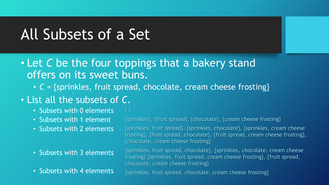# All Subsets of a Set

- Let *C* be the four toppings that a bakery stand offers on its sweet buns.
	- *C* = {sprinkles, fruit spread, chocolate, cream cheese frosting}

#### • List all the subsets of *C*.

- Subsets with 0 elements { }
- Subsets with 1 element
- Subsets with 2 elements
- Subsets with 3 elements
- Subsets with 4 elements

{sprinkles}, {fruit spread}, {chocolate}, {cream cheese frosting}

{sprinkles, fruit spread}, {sprinkles, chocolate}, {sprinkles, cream cheese frosting}, {fruit spread, chocolate}, {fruit spread, cream cheese frosting}, {chocolate, cream cheese frosting}

{sprinkles, fruit spread, chocolate}, {sprinkles, chocolate, cream cheese frosting} {sprinkles, fruit spread, cream cheese frosting}, {fruit spread, chocolate, cream cheese frosting}

{sprinkles, fruit spread, chocolate, cream cheese frosting}